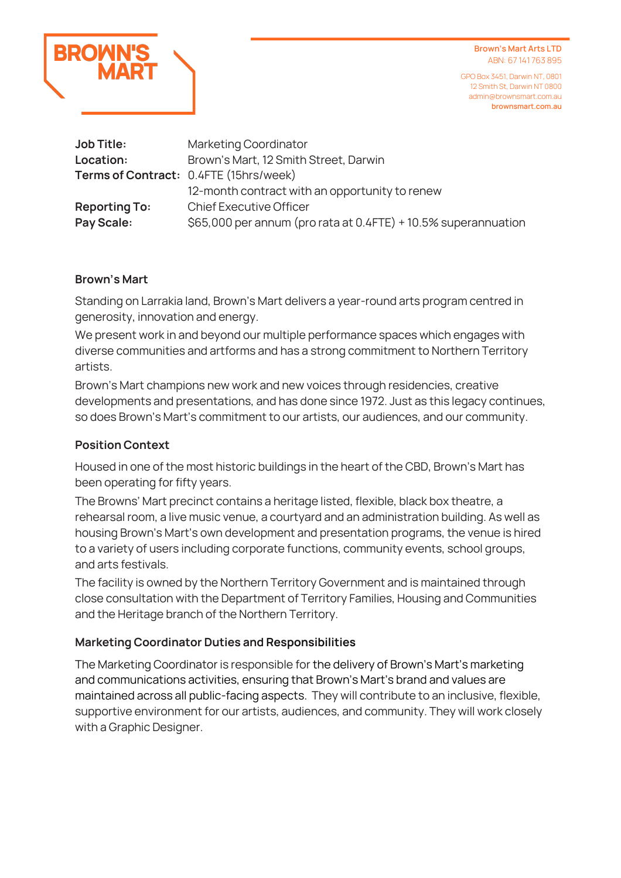

GPO Box 3451, Darwin NT, 0801 12 Smith St, Darwin NT 0800 admin@brownsmart.com.au **brownsmart.com.au**

| <b>Job Title:</b>    | Marketing Coordinator                                          |
|----------------------|----------------------------------------------------------------|
| Location:            | Brown's Mart, 12 Smith Street, Darwin                          |
|                      | Terms of Contract: 0.4FTE (15hrs/week)                         |
|                      | 12-month contract with an opportunity to renew                 |
| <b>Reporting To:</b> | <b>Chief Executive Officer</b>                                 |
| Pay Scale:           | \$65,000 per annum (pro rata at 0.4FTE) + 10.5% superannuation |

#### **Brown's Mart**

Standing on Larrakia land, Brown's Mart delivers a year-round arts program centred in generosity, innovation and energy.

We present work in and beyond our multiple performance spaces which engages with diverse communities and artforms and has a strong commitment to Northern Territory artists.

Brown's Mart champions new work and new voices through residencies, creative developments and presentations, and has done since 1972. Just as this legacy continues, so does Brown's Mart's commitment to our artists, our audiences, and our community.

#### **Position Context**

Housed in one of the most historic buildings in the heart of the CBD, Brown's Mart has been operating for fifty years.

The Browns' Mart precinct contains a heritage listed, flexible, black box theatre, a rehearsal room, a live music venue, a courtyard and an administration building. As well as housing Brown's Mart's own development and presentation programs, the venue is hired to a variety of users including corporate functions, community events, school groups, and arts festivals.

The facility is owned by the Northern Territory Government and is maintained through close consultation with the Department of Territory Families, Housing and Communities and the Heritage branch of the Northern Territory.

#### **Marketing Coordinator Duties and Responsibilities**

The Marketing Coordinator is responsible for the delivery of Brown's Mart's marketing and communications activities, ensuring that Brown's Mart's brand and values are maintained across all public-facing aspects. They will contribute to an inclusive, flexible, supportive environment for our artists, audiences, and community. They will work closely with a Graphic Designer.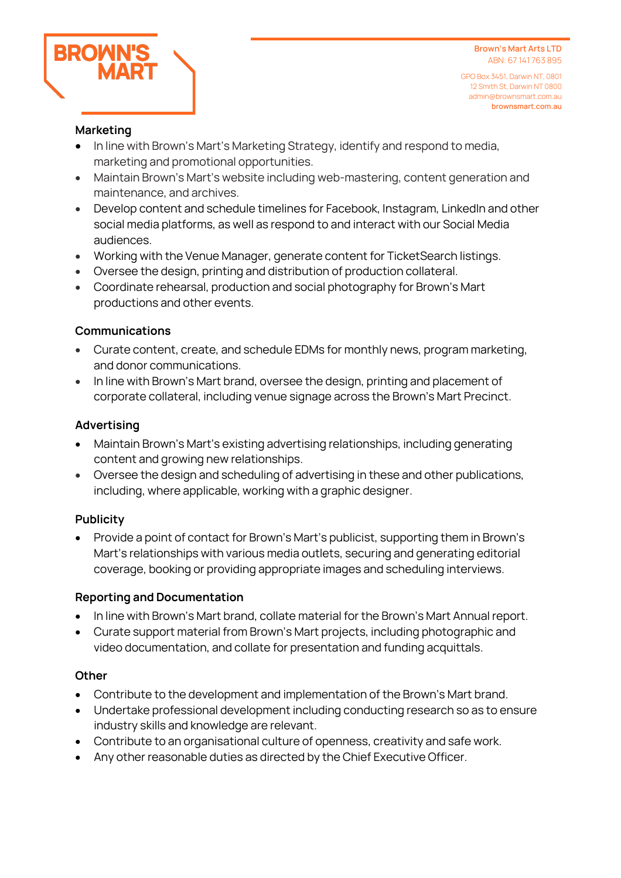

GPO Box 3451, Darwin NT, 0801 12 Smith St, Darwin NT 0800 admin@brownsmart.com.au **brownsmart.com.au**

#### **Marketing**

- In line with Brown's Mart's Marketing Strategy, identify and respond to media, marketing and promotional opportunities.
- Maintain Brown's Mart's website including web-mastering, content generation and maintenance, and archives.
- Develop content and schedule timelines for Facebook, Instagram, LinkedIn and other social media platforms, as well as respond to and interact with our Social Media audiences.
- Working with the Venue Manager, generate content for TicketSearch listings.
- Oversee the design, printing and distribution of production collateral.
- Coordinate rehearsal, production and social photography for Brown's Mart productions and other events.

# **Communications**

- Curate content, create, and schedule EDMs for monthly news, program marketing, and donor communications.
- In line with Brown's Mart brand, oversee the design, printing and placement of corporate collateral, including venue signage across the Brown's Mart Precinct.

## **Advertising**

- Maintain Brown's Mart's existing advertising relationships, including generating content and growing new relationships.
- Oversee the design and scheduling of advertising in these and other publications, including, where applicable, working with a graphic designer.

# **Publicity**

• Provide a point of contact for Brown's Mart's publicist, supporting them in Brown's Mart's relationships with various media outlets, securing and generating editorial coverage, booking or providing appropriate images and scheduling interviews.

## **Reporting and Documentation**

- In line with Brown's Mart brand, collate material for the Brown's Mart Annual report.
- Curate support material from Brown's Mart projects, including photographic and video documentation, and collate for presentation and funding acquittals.

## **Other**

- Contribute to the development and implementation of the Brown's Mart brand.
- Undertake professional development including conducting research so as to ensure industry skills and knowledge are relevant.
- Contribute to an organisational culture of openness, creativity and safe work.
- Any other reasonable duties as directed by the Chief Executive Officer.